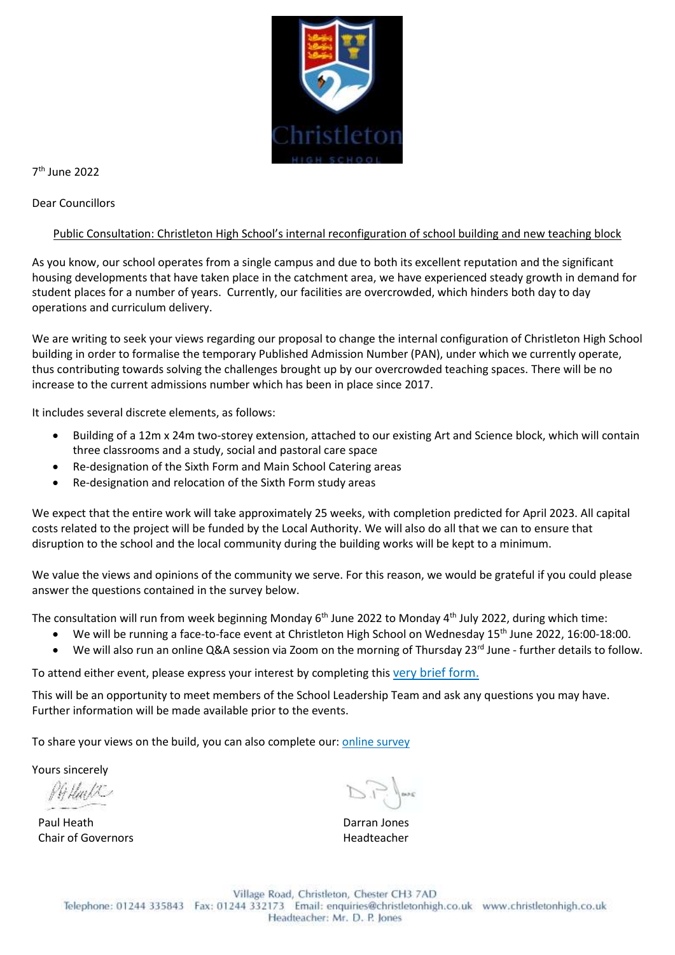

7 th June 2022

Dear Councillors

## Public Consultation: Christleton High School's internal reconfiguration of school building and new teaching block

As you know, our school operates from a single campus and due to both its excellent reputation and the significant housing developments that have taken place in the catchment area, we have experienced steady growth in demand for student places for a number of years. Currently, our facilities are overcrowded, which hinders both day to day operations and curriculum delivery.

We are writing to seek your views regarding our proposal to change the internal configuration of Christleton High School building in order to formalise the temporary Published Admission Number (PAN), under which we currently operate, thus contributing towards solving the challenges brought up by our overcrowded teaching spaces. There will be no increase to the current admissions number which has been in place since 2017.

It includes several discrete elements, as follows:

- Building of a 12m x 24m two-storey extension, attached to our existing Art and Science block, which will contain three classrooms and a study, social and pastoral care space
- Re-designation of the Sixth Form and Main School Catering areas
- Re-designation and relocation of the Sixth Form study areas

We expect that the entire work will take approximately 25 weeks, with completion predicted for April 2023. All capital costs related to the project will be funded by the Local Authority. We will also do all that we can to ensure that disruption to the school and the local community during the building works will be kept to a minimum.

We value the views and opinions of the community we serve. For this reason, we would be grateful if you could please answer the questions contained in the survey below.

The consultation will run from week beginning Monday 6<sup>th</sup> June 2022 to Monday 4<sup>th</sup> July 2022, during which time:

- We will be running a face-to-face event at Christleton High School on Wednesday 15<sup>th</sup> June 2022, 16:00-18:00.
- We will also run an online Q&A session via Zoom on the morning of Thursday 23<sup>rd</sup> June further details to follow.

To attend either event, please express your interest by completing this very brief form.

This will be an opportunity to meet members of the School Leadership Team and ask any questions you may have. Further information will be made available prior to the events.

To share your views on the build, you can also complete our: [online survey](https://www.surveymonkey.co.uk/r/ChristletonHighSchool)

Yours sincerely

Paul Heath Chair of Governors

Darran Jones Headteacher